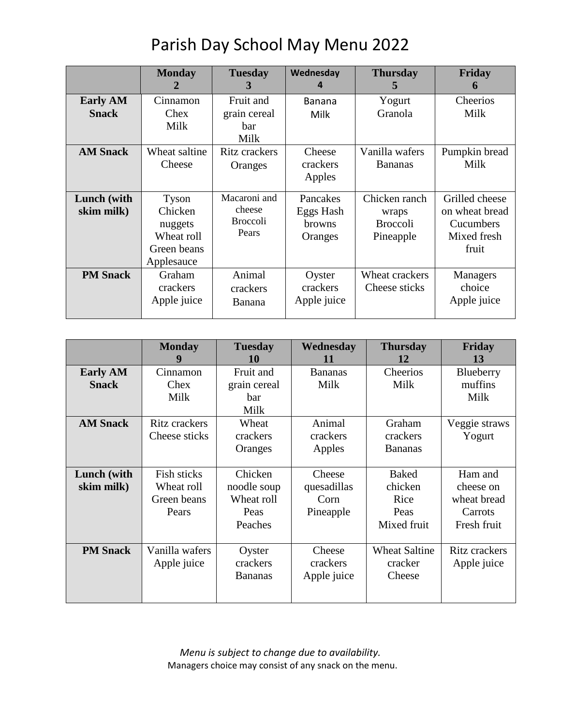|                           | <b>Monday</b><br>2                                                     | <b>Tuesday</b><br>3                                | Wednesday<br>4                             | <b>Thursday</b><br>5                                   | Friday<br>6                                                           |
|---------------------------|------------------------------------------------------------------------|----------------------------------------------------|--------------------------------------------|--------------------------------------------------------|-----------------------------------------------------------------------|
| <b>Early AM</b>           | Cinnamon                                                               | Fruit and                                          | <b>Banana</b>                              | Yogurt                                                 | Cheerios                                                              |
| <b>Snack</b>              | Chex                                                                   | grain cereal                                       | Milk                                       | Granola                                                | Milk                                                                  |
|                           | Milk                                                                   | bar<br>Milk                                        |                                            |                                                        |                                                                       |
| <b>AM Snack</b>           | Wheat saltine<br>Cheese                                                | Ritz crackers<br>Oranges                           | Cheese<br>crackers<br>Apples               | Vanilla wafers<br><b>Bananas</b>                       | Pumpkin bread<br>Milk                                                 |
| Lunch (with<br>skim milk) | Tyson<br>Chicken<br>nuggets<br>Wheat roll<br>Green beans<br>Applesauce | Macaroni and<br>cheese<br><b>Broccoli</b><br>Pears | Pancakes<br>Eggs Hash<br>browns<br>Oranges | Chicken ranch<br>wraps<br><b>Broccoli</b><br>Pineapple | Grilled cheese<br>on wheat bread<br>Cucumbers<br>Mixed fresh<br>fruit |
| <b>PM Snack</b>           | Graham<br>crackers<br>Apple juice                                      | Animal<br>crackers<br>Banana                       | Oyster<br>crackers<br>Apple juice          | Wheat crackers<br>Cheese sticks                        | Managers<br>choice<br>Apple juice                                     |

|                                 | <b>Monday</b>                                     | <b>Tuesday</b><br>10                                    | Wednesday<br>11                            | <b>Thursday</b><br>12                                  | Friday<br>13                                                  |
|---------------------------------|---------------------------------------------------|---------------------------------------------------------|--------------------------------------------|--------------------------------------------------------|---------------------------------------------------------------|
| <b>Early AM</b><br><b>Snack</b> | Cinnamon<br>Chex<br>Milk                          | Fruit and<br>grain cereal<br>bar<br>Milk                | <b>Bananas</b><br>Milk                     | Cheerios<br>Milk                                       | Blueberry<br>muffins<br>Milk                                  |
| <b>AM Snack</b>                 | <b>Ritz crackers</b><br>Cheese sticks             | Wheat<br>crackers<br>Oranges                            | Animal<br>crackers<br>Apples               | Graham<br>crackers<br><b>Bananas</b>                   | Veggie straws<br>Yogurt                                       |
| Lunch (with<br>skim milk)       | Fish sticks<br>Wheat roll<br>Green beans<br>Pears | Chicken<br>noodle soup<br>Wheat roll<br>Peas<br>Peaches | Cheese<br>quesadillas<br>Corn<br>Pineapple | <b>Baked</b><br>chicken<br>Rice<br>Peas<br>Mixed fruit | Ham and<br>cheese on<br>wheat bread<br>Carrots<br>Fresh fruit |
| <b>PM Snack</b>                 | Vanilla wafers<br>Apple juice                     | Oyster<br>crackers<br><b>Bananas</b>                    | Cheese<br>crackers<br>Apple juice          | <b>Wheat Saltine</b><br>cracker<br>Cheese              | <b>Ritz</b> crackers<br>Apple juice                           |

*Menu is subject to change due to availability.* Managers choice may consist of any snack on the menu.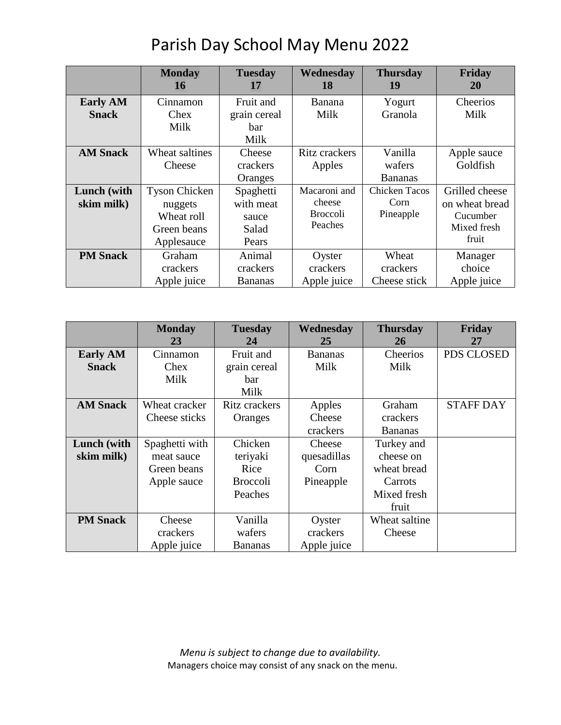|                                 | <b>Monday</b><br>16                                                        | <b>Tuesday</b><br>17                              | Wednesday<br>18                                      | <b>Thursday</b><br>19                     | Friday<br><b>20</b>                                                  |
|---------------------------------|----------------------------------------------------------------------------|---------------------------------------------------|------------------------------------------------------|-------------------------------------------|----------------------------------------------------------------------|
| <b>Early AM</b><br><b>Snack</b> | Cinnamon<br>Chex<br>Milk                                                   | Fruit and<br>grain cereal<br>bar<br>Milk          | <b>Banana</b><br>Milk                                | Yogurt<br>Granola                         | Cheerios<br>Milk                                                     |
| <b>AM Snack</b>                 | Wheat saltines<br>Cheese                                                   | Cheese<br>crackers<br>Oranges                     | Ritz crackers<br>Apples                              | Vanilla<br>wafers<br><b>Bananas</b>       | Apple sauce<br>Goldfish                                              |
| Lunch (with<br>skim milk)       | <b>Tyson Chicken</b><br>nuggets<br>Wheat roll<br>Green beans<br>Applesauce | Spaghetti<br>with meat<br>sauce<br>Salad<br>Pears | Macaroni and<br>cheese<br><b>Broccoli</b><br>Peaches | <b>Chicken Tacos</b><br>Corn<br>Pineapple | Grilled cheese<br>on wheat bread<br>Cucumber<br>Mixed fresh<br>fruit |
| <b>PM</b> Snack                 | Graham<br>crackers<br>Apple juice                                          | Animal<br>crackers<br><b>Bananas</b>              | Oyster<br>crackers<br>Apple juice                    | Wheat<br>crackers<br>Cheese stick         | Manager<br>choice<br>Apple juice                                     |

## Parish Day School May Menu 2022

|                 | <b>Monday</b><br>23 | <b>Tuesday</b><br>24 | Wednesday<br>25 | <b>Thursday</b><br>26 | Friday<br>27     |
|-----------------|---------------------|----------------------|-----------------|-----------------------|------------------|
| <b>Early AM</b> | Cinnamon            | Fruit and            | <b>Bananas</b>  | Cheerios              | PDS CLOSED       |
| <b>Snack</b>    | Chex                | grain cereal         | Milk            | Milk                  |                  |
|                 | Milk                | bar                  |                 |                       |                  |
|                 |                     | Milk                 |                 |                       |                  |
| <b>AM Snack</b> | Wheat cracker       | Ritz crackers        | Apples          | Graham                | <b>STAFF DAY</b> |
|                 | Cheese sticks       | Oranges              | Cheese          | crackers              |                  |
|                 |                     |                      | crackers        | <b>Bananas</b>        |                  |
| Lunch (with     | Spaghetti with      | Chicken              | Cheese          | Turkey and            |                  |
| skim milk)      | meat sauce          | teriyaki             | quesadillas     | cheese on             |                  |
|                 | Green beans         | Rice                 | Corn            | wheat bread           |                  |
|                 | Apple sauce         | <b>Broccoli</b>      | Pineapple       | Carrots               |                  |
|                 |                     | Peaches              |                 | Mixed fresh           |                  |
|                 |                     |                      |                 | fruit                 |                  |
| <b>PM Snack</b> | Cheese              | Vanilla              | Oyster          | Wheat saltine         |                  |
|                 | crackers            | wafers               | crackers        | Cheese                |                  |
|                 | Apple juice         | <b>Bananas</b>       | Apple juice     |                       |                  |

*Menu is subject to change due to availability.* Managers choice may consist of any snack on the menu.